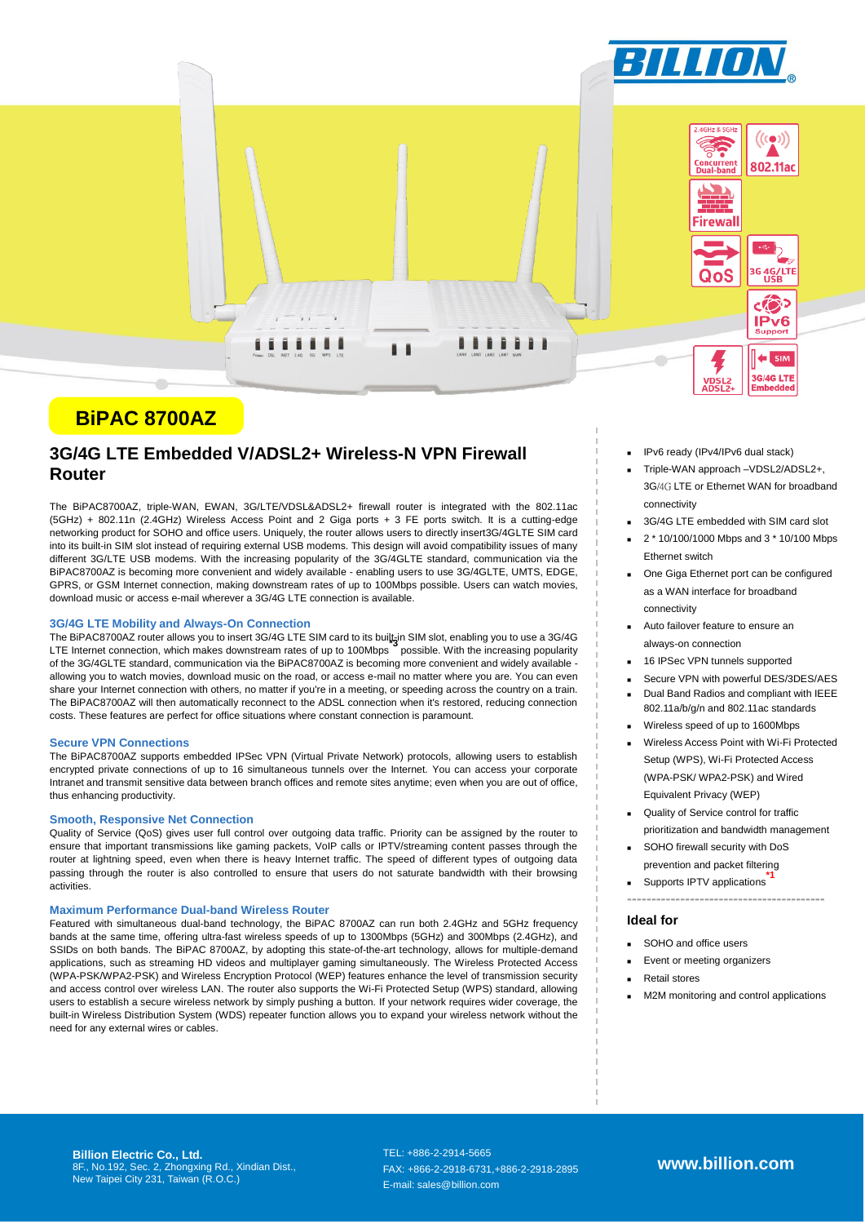

# **BiPAC 8700AZ**

## **3G/4G LTE Embedded V/ADSL2+ Wireless-N VPN Firewall Router**

The BiPAC8700AZ, triple-WAN, EWAN, 3G/LTE/VDSL&ADSL2+ firewall router is integrated with the 802.11ac (5GHz) + 802.11n (2.4GHz) Wireless Access Point and 2 Giga ports + 3 FE ports switch. It is a cutting-edge networking product for SOHO and office users. Uniquely, the router allows users to directly insert3G/4GLTE SIM card into its built-in SIM slot instead of requiring external USB modems. This design will avoid compatibility issues of many different 3G/LTE USB modems. With the increasing popularity of the 3G/4GLTE standard, communication via the BiPAC8700AZ is becoming more convenient and widely available - enabling users to use 3G/4GLTE, UMTS, EDGE, GPRS, or GSM Internet connection, making downstream rates of up to 100Mbps possible. Users can watch movies, download music or access e-mail wherever a 3G/4G LTE connection is available.

## **3G/4G LTE Mobility and Always-On Connection**

The BiPAC8700AZ router allows you to insert 3G/4G LTE SIM card to its built-in SIM slot, enabling you to use a 3G/4G LTE Internet connection, which makes downstream rates of up to 100Mbps **\*3** possible. With the increasing popularity of the 3G/4GLTE standard, communication via the BiPAC8700AZ is becoming more convenient and widely available allowing you to watch movies, download music on the road, or access e-mail no matter where you are. You can even share your Internet connection with others, no matter if you're in a meeting, or speeding across the country on a train. The BiPAC8700AZ will then automatically reconnect to the ADSL connection when it's restored, reducing connection costs. These features are perfect for office situations where constant connection is paramount.

#### **Secure VPN Connections**

The BiPAC8700AZ supports embedded IPSec VPN (Virtual Private Network) protocols, allowing users to establish encrypted private connections of up to 16 simultaneous tunnels over the Internet. You can access your corporate Intranet and transmit sensitive data between branch offices and remote sites anytime; even when you are out of office, thus enhancing productivity.

### **Smooth, Responsive Net Connection**

Quality of Service (QoS) gives user full control over outgoing data traffic. Priority can be assigned by the router to ensure that important transmissions like gaming packets, VoIP calls or IPTV/streaming content passes through the router at lightning speed, even when there is heavy Internet traffic. The speed of different types of outgoing data passing through the router is also controlled to ensure that users do not saturate bandwidth with their browsing activities.

#### **Maximum Performance Dual-band Wireless Router**

Featured with simultaneous dual-band technology, the BiPAC 8700AZ can run both 2.4GHz and 5GHz frequency bands at the same time, offering ultra-fast wireless speeds of up to 1300Mbps (5GHz) and 300Mbps (2.4GHz), and SSIDs on both bands. The BiPAC 8700AZ, by adopting this state-of-the-art technology, allows for multiple-demand applications, such as streaming HD videos and multiplayer gaming simultaneously. The Wireless Protected Access (WPA-PSK/WPA2-PSK) and Wireless Encryption Protocol (WEP) features enhance the level of transmission security and access control over wireless LAN. The router also supports the Wi-Fi Protected Setup (WPS) standard, allowing users to establish a secure wireless network by simply pushing a button. If your network requires wider coverage, the built-in Wireless Distribution System (WDS) repeater function allows you to expand your wireless network without the need for any external wires or cables.

- IPv6 ready (IPv4/IPv6 dual stack)
- Triple-WAN approach –VDSL2/ADSL2+, 3G/4G LTE or Ethernet WAN for broadband connectivity
- 3G/4G LTE embedded with SIM card slot
- 2 \* 10/100/1000 Mbps and 3 \* 10/100 Mbps Ethernet switch
- **Die Giga Ethernet port can be configured** as a WAN interface for broadband connectivity
- Auto failover feature to ensure an always-on connection
- 16 IPSec VPN tunnels supported
- Secure VPN with powerful DES/3DES/AES Dual Band Radios and compliant with IEEE 802.11a/b/g/n and 802.11ac standards
- Wireless speed of up to 1600Mbps
- Wireless Access Point with Wi-Fi Protected Setup (WPS), Wi-Fi Protected Access (WPA-PSK/ WPA2-PSK) and Wired Equivalent Privacy (WEP)
- Quality of Service control for traffic prioritization and bandwidth management

**-----------------------------------------**

- SOHO firewall security with DoS prevention and packet filtering
- Supports IPTV applications **\*1**

## **Ideal for**

- SOHO and office users
- Event or meeting organizers
- Retail stores
- M2M monitoring and control applications

**Billion Electric Co., Ltd.** 8F., No.192, Sec. 2, Zhongxing Rd., Xindian Dist., New Taipei City 231, Taiwan (R.O.C.)

TEL: +886-2-2914-5665 FAX: +866-2-2918-6731,+886-2-2918-2895 E-mail: sales@billion.com

**www.billion.com**